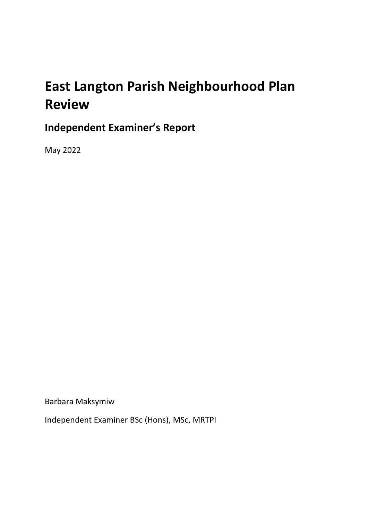# **East Langton Parish Neighbourhood Plan Review**

## **Independent Examiner's Report**

May 2022

Barbara Maksymiw

Independent Examiner BSc (Hons), MSc, MRTPI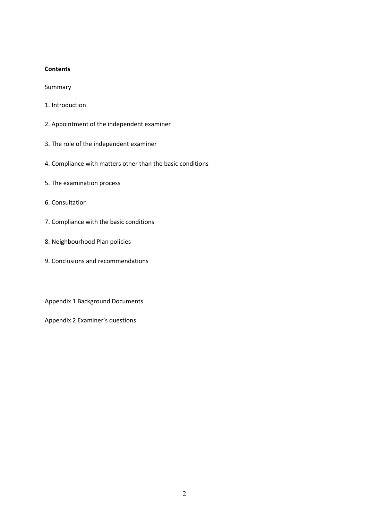#### **Contents**

Summary

- 1. Introduction
- 2. Appointment of the independent examiner
- 3. The role of the independent examiner
- 4. Compliance with matters other than the basic conditions
- 5. The examination process
- 6. Consultation
- 7. Compliance with the basic conditions
- 8. Neighbourhood Plan policies
- 9. Conclusions and recommendations

Appendix 1 Background Documents

Appendix 2 Examiner's questions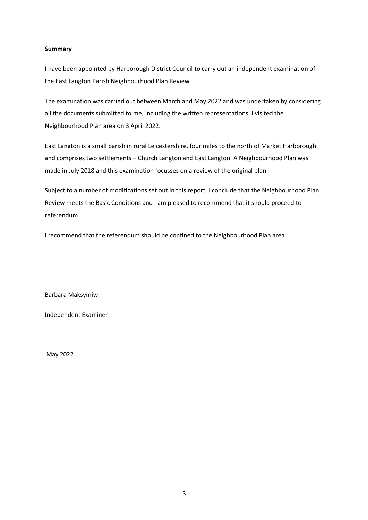#### **Summary**

I have been appointed by Harborough District Council to carry out an independent examination of the East Langton Parish Neighbourhood Plan Review.

The examination was carried out between March and May 2022 and was undertaken by considering all the documents submitted to me, including the written representations. I visited the Neighbourhood Plan area on 3 April 2022.

East Langton is a small parish in rural Leicestershire, four miles to the north of Market Harborough and comprises two settlements – Church Langton and East Langton. A Neighbourhood Plan was made in July 2018 and this examination focusses on a review of the original plan.

Subject to a number of modifications set out in this report, I conclude that the Neighbourhood Plan Review meets the Basic Conditions and I am pleased to recommend that it should proceed to referendum.

I recommend that the referendum should be confined to the Neighbourhood Plan area.

Barbara Maksymiw

Independent Examiner

May 2022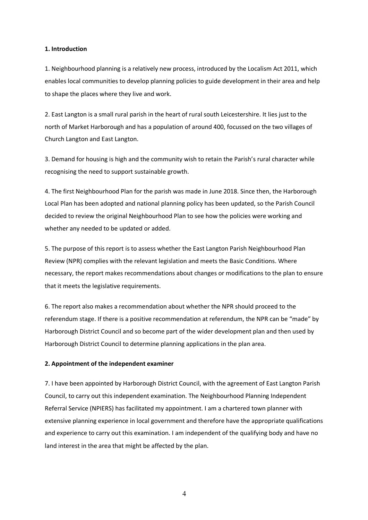#### **1. Introduction**

1. Neighbourhood planning is a relatively new process, introduced by the Localism Act 2011, which enables local communities to develop planning policies to guide development in their area and help to shape the places where they live and work.

2. East Langton is a small rural parish in the heart of rural south Leicestershire. It lies just to the north of Market Harborough and has a population of around 400, focussed on the two villages of Church Langton and East Langton.

3. Demand for housing is high and the community wish to retain the Parish's rural character while recognising the need to support sustainable growth.

4. The first Neighbourhood Plan for the parish was made in June 2018. Since then, the Harborough Local Plan has been adopted and national planning policy has been updated, so the Parish Council decided to review the original Neighbourhood Plan to see how the policies were working and whether any needed to be updated or added.

5. The purpose of this report is to assess whether the East Langton Parish Neighbourhood Plan Review (NPR) complies with the relevant legislation and meets the Basic Conditions. Where necessary, the report makes recommendations about changes or modifications to the plan to ensure that it meets the legislative requirements.

6. The report also makes a recommendation about whether the NPR should proceed to the referendum stage. If there is a positive recommendation at referendum, the NPR can be "made" by Harborough District Council and so become part of the wider development plan and then used by Harborough District Council to determine planning applications in the plan area.

#### **2. Appointment of the independent examiner**

7. I have been appointed by Harborough District Council, with the agreement of East Langton Parish Council, to carry out this independent examination. The Neighbourhood Planning Independent Referral Service (NPIERS) has facilitated my appointment. I am a chartered town planner with extensive planning experience in local government and therefore have the appropriate qualifications and experience to carry out this examination. I am independent of the qualifying body and have no land interest in the area that might be affected by the plan.

4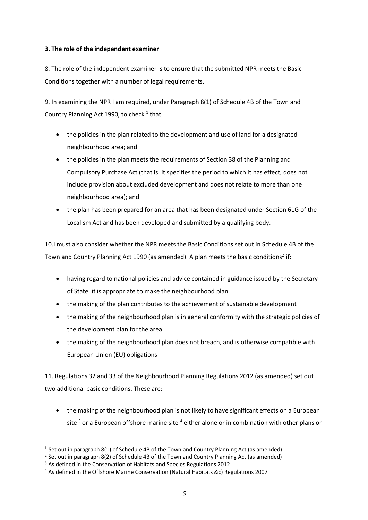#### **3. The role of the independent examiner**

8. The role of the independent examiner is to ensure that the submitted NPR meets the Basic Conditions together with a number of legal requirements.

9. In examining the NPR I am required, under Paragraph 8(1) of Schedule 4B of the Town and Country Planning Act 1990, to check  $1$  that:

- the policies in the plan related to the development and use of land for a designated neighbourhood area; and
- the policies in the plan meets the requirements of Section 38 of the Planning and Compulsory Purchase Act (that is, it specifies the period to which it has effect, does not include provision about excluded development and does not relate to more than one neighbourhood area); and
- the plan has been prepared for an area that has been designated under Section 61G of the Localism Act and has been developed and submitted by a qualifying body.

10.I must also consider whether the NPR meets the Basic Conditions set out in Schedule 4B of the Town and Country Planning Act 1990 (as amended). A plan meets the basic conditions<sup>2</sup> if:

- having regard to national policies and advice contained in guidance issued by the Secretary of State, it is appropriate to make the neighbourhood plan
- the making of the plan contributes to the achievement of sustainable development
- the making of the neighbourhood plan is in general conformity with the strategic policies of the development plan for the area
- the making of the neighbourhood plan does not breach, and is otherwise compatible with European Union (EU) obligations

11. Regulations 32 and 33 of the Neighbourhood Planning Regulations 2012 (as amended) set out two additional basic conditions. These are:

• the making of the neighbourhood plan is not likely to have significant effects on a European site  $3$  or a European offshore marine site  $4$  either alone or in combination with other plans or

 $1$  Set out in paragraph 8(1) of Schedule 4B of the Town and Country Planning Act (as amended)

<sup>&</sup>lt;sup>2</sup> Set out in paragraph 8(2) of Schedule 4B of the Town and Country Planning Act (as amended)

<sup>&</sup>lt;sup>3</sup> As defined in the Conservation of Habitats and Species Regulations 2012

<sup>4</sup> As defined in the Offshore Marine Conservation (Natural Habitats &c) Regulations 2007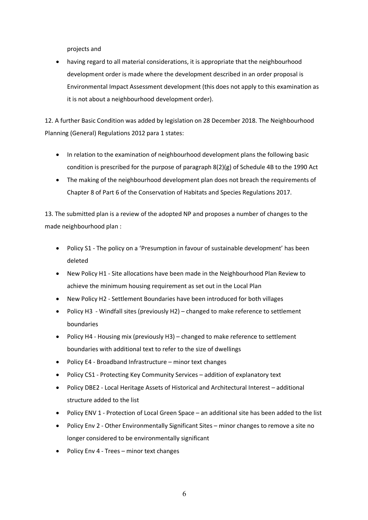projects and

• having regard to all material considerations, it is appropriate that the neighbourhood development order is made where the development described in an order proposal is Environmental Impact Assessment development (this does not apply to this examination as it is not about a neighbourhood development order).

12. A further Basic Condition was added by legislation on 28 December 2018. The Neighbourhood Planning (General) Regulations 2012 para 1 states:

- In relation to the examination of neighbourhood development plans the following basic condition is prescribed for the purpose of paragraph  $8(2)(g)$  of Schedule 4B to the 1990 Act
- The making of the neighbourhood development plan does not breach the requirements of Chapter 8 of Part 6 of the Conservation of Habitats and Species Regulations 2017.

13. The submitted plan is a review of the adopted NP and proposes a number of changes to the made neighbourhood plan :

- Policy S1 The policy on a 'Presumption in favour of sustainable development' has been deleted
- New Policy H1 Site allocations have been made in the Neighbourhood Plan Review to achieve the minimum housing requirement as set out in the Local Plan
- New Policy H2 Settlement Boundaries have been introduced for both villages
- Policy H3 Windfall sites (previously H2) changed to make reference to settlement boundaries
- Policy H4 Housing mix (previously H3) changed to make reference to settlement boundaries with additional text to refer to the size of dwellings
- Policy E4 Broadband Infrastructure minor text changes
- Policy CS1 Protecting Key Community Services addition of explanatory text
- Policy DBE2 Local Heritage Assets of Historical and Architectural Interest additional structure added to the list
- Policy ENV 1 Protection of Local Green Space an additional site has been added to the list
- Policy Env 2 Other Environmentally Significant Sites minor changes to remove a site no longer considered to be environmentally significant
- Policy Env 4 Trees minor text changes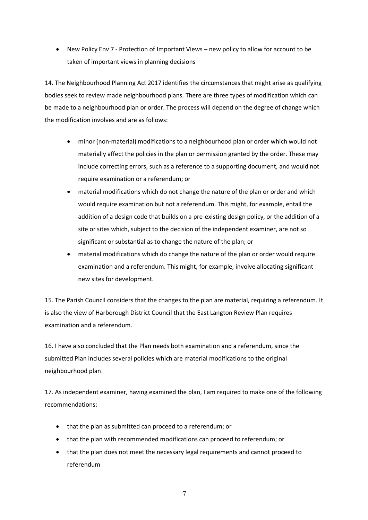• New Policy Env 7 - Protection of Important Views – new policy to allow for account to be taken of important views in planning decisions

14. The Neighbourhood Planning Act 2017 identifies the circumstances that might arise as qualifying bodies seek to review made neighbourhood plans. There are three types of modification which can be made to a neighbourhood plan or order. The process will depend on the degree of change which the modification involves and are as follows:

- minor (non-material) modifications to a neighbourhood plan or order which would not materially affect the policies in the plan or permission granted by the order. These may include correcting errors, such as a reference to a supporting document, and would not require examination or a referendum; or
- material modifications which do not change the nature of the plan or order and which would require examination but not a referendum. This might, for example, entail the addition of a design code that builds on a pre-existing design policy, or the addition of a site or sites which, subject to the decision of the independent examiner, are not so significant or substantial as to change the nature of the plan; or
- material modifications which do change the nature of the plan or order would require examination and a referendum. This might, for example, involve allocating significant new sites for development.

15. The Parish Council considers that the changes to the plan are material, requiring a referendum. It is also the view of Harborough District Council that the East Langton Review Plan requires examination and a referendum.

16. I have also concluded that the Plan needs both examination and a referendum, since the submitted Plan includes several policies which are material modifications to the original neighbourhood plan.

17. As independent examiner, having examined the plan, I am required to make one of the following recommendations:

- that the plan as submitted can proceed to a referendum; or
- that the plan with recommended modifications can proceed to referendum; or
- that the plan does not meet the necessary legal requirements and cannot proceed to referendum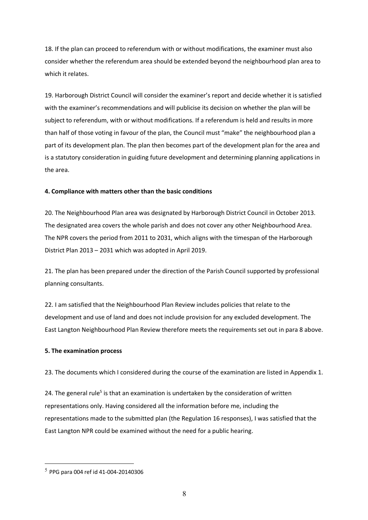18. If the plan can proceed to referendum with or without modifications, the examiner must also consider whether the referendum area should be extended beyond the neighbourhood plan area to which it relates.

19. Harborough District Council will consider the examiner's report and decide whether it is satisfied with the examiner's recommendations and will publicise its decision on whether the plan will be subject to referendum, with or without modifications. If a referendum is held and results in more than half of those voting in favour of the plan, the Council must "make" the neighbourhood plan a part of its development plan. The plan then becomes part of the development plan for the area and is a statutory consideration in guiding future development and determining planning applications in the area.

#### **4. Compliance with matters other than the basic conditions**

20. The Neighbourhood Plan area was designated by Harborough District Council in October 2013. The designated area covers the whole parish and does not cover any other Neighbourhood Area. The NPR covers the period from 2011 to 2031, which aligns with the timespan of the Harborough District Plan 2013 – 2031 which was adopted in April 2019.

21. The plan has been prepared under the direction of the Parish Council supported by professional planning consultants.

22. I am satisfied that the Neighbourhood Plan Review includes policies that relate to the development and use of land and does not include provision for any excluded development. The East Langton Neighbourhood Plan Review therefore meets the requirements set out in para 8 above.

#### **5. The examination process**

23. The documents which I considered during the course of the examination are listed in Appendix 1.

24. The general rule<sup>5</sup> is that an examination is undertaken by the consideration of written representations only. Having considered all the information before me, including the representations made to the submitted plan (the Regulation 16 responses), I was satisfied that the East Langton NPR could be examined without the need for a public hearing.

 $5$  PPG para 004 ref id 41-004-20140306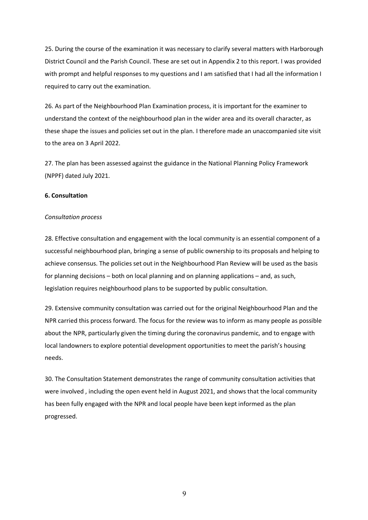25. During the course of the examination it was necessary to clarify several matters with Harborough District Council and the Parish Council. These are set out in Appendix 2 to this report. I was provided with prompt and helpful responses to my questions and I am satisfied that I had all the information I required to carry out the examination.

26. As part of the Neighbourhood Plan Examination process, it is important for the examiner to understand the context of the neighbourhood plan in the wider area and its overall character, as these shape the issues and policies set out in the plan. I therefore made an unaccompanied site visit to the area on 3 April 2022.

27. The plan has been assessed against the guidance in the National Planning Policy Framework (NPPF) dated July 2021.

#### **6. Consultation**

#### *Consultation process*

28. Effective consultation and engagement with the local community is an essential component of a successful neighbourhood plan, bringing a sense of public ownership to its proposals and helping to achieve consensus. The policies set out in the Neighbourhood Plan Review will be used as the basis for planning decisions – both on local planning and on planning applications – and, as such, legislation requires neighbourhood plans to be supported by public consultation.

29. Extensive community consultation was carried out for the original Neighbourhood Plan and the NPR carried this process forward. The focus for the review was to inform as many people as possible about the NPR, particularly given the timing during the coronavirus pandemic, and to engage with local landowners to explore potential development opportunities to meet the parish's housing needs.

30. The Consultation Statement demonstrates the range of community consultation activities that were involved , including the open event held in August 2021, and shows that the local community has been fully engaged with the NPR and local people have been kept informed as the plan progressed.

9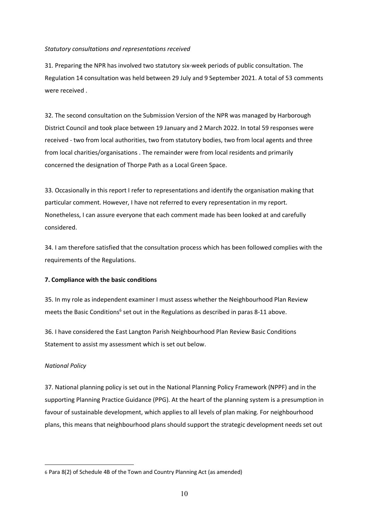#### *Statutory consultations and representations received*

31. Preparing the NPR has involved two statutory six-week periods of public consultation. The Regulation 14 consultation was held between 29 July and 9 September 2021. A total of 53 comments were received .

32. The second consultation on the Submission Version of the NPR was managed by Harborough District Council and took place between 19 January and 2 March 2022. In total 59 responses were received - two from local authorities, two from statutory bodies, two from local agents and three from local charities/organisations . The remainder were from local residents and primarily concerned the designation of Thorpe Path as a Local Green Space.

33. Occasionally in this report I refer to representations and identify the organisation making that particular comment. However, I have not referred to every representation in my report. Nonetheless, I can assure everyone that each comment made has been looked at and carefully considered.

34. I am therefore satisfied that the consultation process which has been followed complies with the requirements of the Regulations.

#### **7. Compliance with the basic conditions**

35. In my role as independent examiner I must assess whether the Neighbourhood Plan Review meets the Basic Conditions<sup>6</sup> set out in the Regulations as described in paras 8-11 above.

36. I have considered the East Langton Parish Neighbourhood Plan Review Basic Conditions Statement to assist my assessment which is set out below.

#### *National Policy*

 $\overline{a}$ 

37. National planning policy is set out in the National Planning Policy Framework (NPPF) and in the supporting Planning Practice Guidance (PPG). At the heart of the planning system is a presumption in favour of sustainable development, which applies to all levels of plan making. For neighbourhood plans, this means that neighbourhood plans should support the strategic development needs set out

<sup>6</sup> Para 8(2) of Schedule 4B of the Town and Country Planning Act (as amended)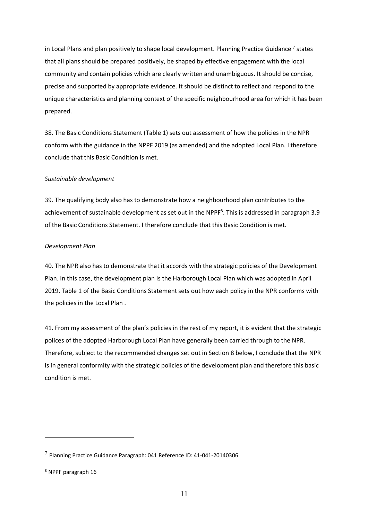in Local Plans and plan positively to shape local development. Planning Practice Guidance<sup>7</sup> states that all plans should be prepared positively, be shaped by effective engagement with the local community and contain policies which are clearly written and unambiguous. It should be concise, precise and supported by appropriate evidence. It should be distinct to reflect and respond to the unique characteristics and planning context of the specific neighbourhood area for which it has been prepared.

38. The Basic Conditions Statement (Table 1) sets out assessment of how the policies in the NPR conform with the guidance in the NPPF 2019 (as amended) and the adopted Local Plan. I therefore conclude that this Basic Condition is met.

#### *Sustainable development*

39. The qualifying body also has to demonstrate how a neighbourhood plan contributes to the achievement of sustainable development as set out in the NPPF<sup>8</sup>. This is addressed in paragraph 3.9 of the Basic Conditions Statement. I therefore conclude that this Basic Condition is met.

#### *Development Plan*

40. The NPR also has to demonstrate that it accords with the strategic policies of the Development Plan. In this case, the development plan is the Harborough Local Plan which was adopted in April 2019. Table 1 of the Basic Conditions Statement sets out how each policy in the NPR conforms with the policies in the Local Plan .

41. From my assessment of the plan's policies in the rest of my report, it is evident that the strategic polices of the adopted Harborough Local Plan have generally been carried through to the NPR. Therefore, subject to the recommended changes set out in Section 8 below, I conclude that the NPR is in general conformity with the strategic policies of the development plan and therefore this basic condition is met.

 $\overline{a}$ 

 $7$  Planning Practice Guidance Paragraph: 041 Reference ID: 41-041-20140306

<sup>8</sup> NPPF paragraph 16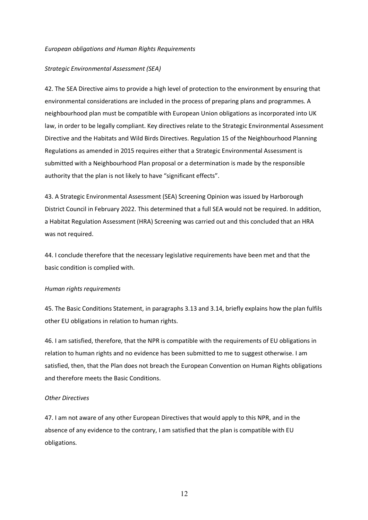#### *European obligations and Human Rights Requirements*

#### *Strategic Environmental Assessment (SEA)*

42. The SEA Directive aims to provide a high level of protection to the environment by ensuring that environmental considerations are included in the process of preparing plans and programmes. A neighbourhood plan must be compatible with European Union obligations as incorporated into UK law, in order to be legally compliant. Key directives relate to the Strategic Environmental Assessment Directive and the Habitats and Wild Birds Directives. Regulation 15 of the Neighbourhood Planning Regulations as amended in 2015 requires either that a Strategic Environmental Assessment is submitted with a Neighbourhood Plan proposal or a determination is made by the responsible authority that the plan is not likely to have "significant effects".

43. A Strategic Environmental Assessment (SEA) Screening Opinion was issued by Harborough District Council in February 2022. This determined that a full SEA would not be required. In addition, a Habitat Regulation Assessment (HRA) Screening was carried out and this concluded that an HRA was not required.

44. I conclude therefore that the necessary legislative requirements have been met and that the basic condition is complied with.

#### *Human rights requirements*

45. The Basic Conditions Statement, in paragraphs 3.13 and 3.14, briefly explains how the plan fulfils other EU obligations in relation to human rights.

46. I am satisfied, therefore, that the NPR is compatible with the requirements of EU obligations in relation to human rights and no evidence has been submitted to me to suggest otherwise. I am satisfied, then, that the Plan does not breach the European Convention on Human Rights obligations and therefore meets the Basic Conditions.

#### *Other Directives*

47. I am not aware of any other European Directives that would apply to this NPR, and in the absence of any evidence to the contrary, I am satisfied that the plan is compatible with EU obligations.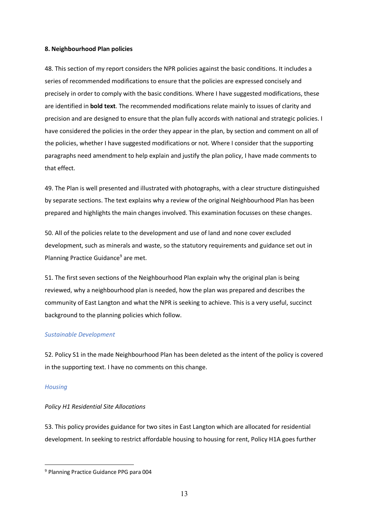#### **8. Neighbourhood Plan policies**

48. This section of my report considers the NPR policies against the basic conditions. It includes a series of recommended modifications to ensure that the policies are expressed concisely and precisely in order to comply with the basic conditions. Where I have suggested modifications, these are identified in **bold text**. The recommended modifications relate mainly to issues of clarity and precision and are designed to ensure that the plan fully accords with national and strategic policies. I have considered the policies in the order they appear in the plan, by section and comment on all of the policies, whether I have suggested modifications or not. Where I consider that the supporting paragraphs need amendment to help explain and justify the plan policy, I have made comments to that effect.

49. The Plan is well presented and illustrated with photographs, with a clear structure distinguished by separate sections. The text explains why a review of the original Neighbourhood Plan has been prepared and highlights the main changes involved. This examination focusses on these changes.

50. All of the policies relate to the development and use of land and none cover excluded development, such as minerals and waste, so the statutory requirements and guidance set out in Planning Practice Guidance<sup>9</sup> are met.

51. The first seven sections of the Neighbourhood Plan explain why the original plan is being reviewed, why a neighbourhood plan is needed, how the plan was prepared and describes the community of East Langton and what the NPR is seeking to achieve. This is a very useful, succinct background to the planning policies which follow.

#### *Sustainable Development*

52. Policy S1 in the made Neighbourhood Plan has been deleted as the intent of the policy is covered in the supporting text. I have no comments on this change.

#### *Housing*

 $\overline{a}$ 

#### *Policy H1 Residential Site Allocations*

53. This policy provides guidance for two sites in East Langton which are allocated for residential development. In seeking to restrict affordable housing to housing for rent, Policy H1A goes further

<sup>9</sup> Planning Practice Guidance PPG para 004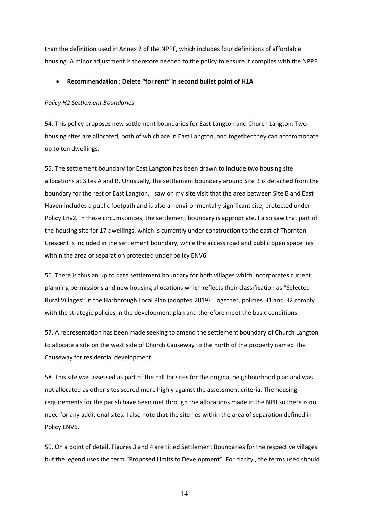than the definition used in Annex 2 of the NPPF, which includes four definitions of affordable housing. A minor adjustment is therefore needed to the policy to ensure it complies with the NPPF.

#### • **Recommendation : Delete "for rent" in second bullet point of H1A**

#### *Policy H2 Settlement Boundaries*

54. This policy proposes new settlement boundaries for East Langton and Church Langton. Two housing sites are allocated, both of which are in East Langton, and together they can accommodate up to ten dwellings.

55. The settlement boundary for East Langton has been drawn to include two housing site allocations at Sites A and B. Unusually, the settlement boundary around Site B is detached from the boundary for the rest of East Langton. I saw on my site visit that the area between Site B and East Haven includes a public footpath and is also an environmentally significant site, protected under Policy Env2. In these circumstances, the settlement boundary is appropriate. I also saw that part of the housing site for 17 dwellings, which is currently under construction to the east of Thornton Crescent is included in the settlement boundary, while the access road and public open space lies within the area of separation protected under policy ENV6.

56. There is thus an up to date settlement boundary for both villages which incorporates current planning permissions and new housing allocations which reflects their classification as "Selected Rural Villages" in the Harborough Local Plan (adopted 2019). Together, policies H1 and H2 comply with the strategic policies in the development plan and therefore meet the basic conditions.

57. A representation has been made seeking to amend the settlement boundary of Church Langton to allocate a site on the west side of Church Causeway to the north of the property named The Causeway for residential development.

58. This site was assessed as part of the call for sites for the original neighbourhood plan and was not allocated as other sites scored more highly against the assessment criteria. The housing requirements for the parish have been met through the allocations made in the NPR so there is no need for any additional sites. I also note that the site lies within the area of separation defined in Policy ENV6.

59. On a point of detail, Figures 3 and 4 are titled Settlement Boundaries for the respective villages but the legend uses the term "Proposed Limits to Development". For clarity , the terms used should

14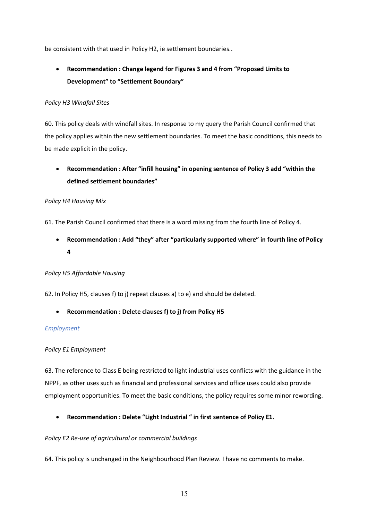be consistent with that used in Policy H2, ie settlement boundaries..

## • **Recommendation : Change legend for Figures 3 and 4 from "Proposed Limits to Development" to "Settlement Boundary"**

#### *Policy H3 Windfall Sites*

60. This policy deals with windfall sites. In response to my query the Parish Council confirmed that the policy applies within the new settlement boundaries. To meet the basic conditions, this needs to be made explicit in the policy.

• **Recommendation : After "infill housing" in opening sentence of Policy 3 add "within the defined settlement boundaries"**

#### *Policy H4 Housing Mix*

61. The Parish Council confirmed that there is a word missing from the fourth line of Policy 4.

• **Recommendation : Add "they" after "particularly supported where" in fourth line of Policy 4**

#### *Policy H5 Affordable Housing*

62. In Policy H5, clauses f) to j) repeat clauses a) to e) and should be deleted.

• **Recommendation : Delete clauses f) to j) from Policy H5**

#### *Employment*

#### *Policy E1 Employment*

63. The reference to Class E being restricted to light industrial uses conflicts with the guidance in the NPPF, as other uses such as financial and professional services and office uses could also provide employment opportunities. To meet the basic conditions, the policy requires some minor rewording.

• **Recommendation : Delete "Light Industrial " in first sentence of Policy E1.**

#### *Policy E2 Re-use of agricultural or commercial buildings*

64. This policy is unchanged in the Neighbourhood Plan Review. I have no comments to make.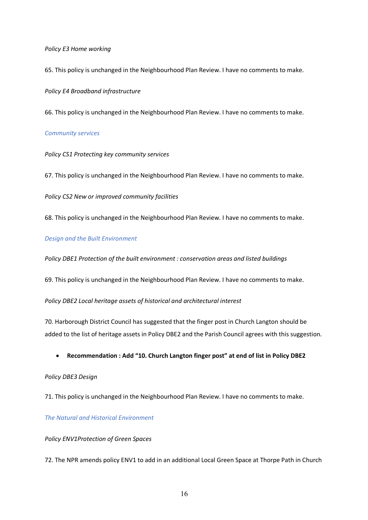*Policy E3 Home working* 

65. This policy is unchanged in the Neighbourhood Plan Review. I have no comments to make.

#### *Policy E4 Broadband infrastructure*

66. This policy is unchanged in the Neighbourhood Plan Review. I have no comments to make.

#### *Community services*

*Policy CS1 Protecting key community services* 

67. This policy is unchanged in the Neighbourhood Plan Review. I have no comments to make.

*Policy CS2 New or improved community facilities* 

68. This policy is unchanged in the Neighbourhood Plan Review. I have no comments to make.

#### *Design and the Built Environment*

*Policy DBE1 Protection of the built environment : conservation areas and listed buildings* 

69. This policy is unchanged in the Neighbourhood Plan Review. I have no comments to make.

*Policy DBE2 Local heritage assets of historical and architectural interest*

70. Harborough District Council has suggested that the finger post in Church Langton should be added to the list of heritage assets in Policy DBE2 and the Parish Council agrees with this suggestion.

#### • **Recommendation : Add "10. Church Langton finger post" at end of list in Policy DBE2**

#### *Policy DBE3 Design*

71. This policy is unchanged in the Neighbourhood Plan Review. I have no comments to make.

*The Natural and Historical Environment* 

#### *Policy ENV1Protection of Green Spaces*

72. The NPR amends policy ENV1 to add in an additional Local Green Space at Thorpe Path in Church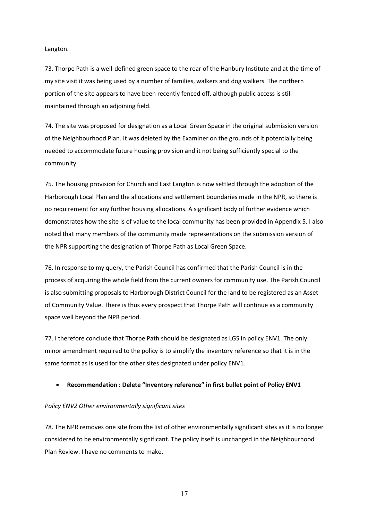Langton.

73. Thorpe Path is a well-defined green space to the rear of the Hanbury Institute and at the time of my site visit it was being used by a number of families, walkers and dog walkers. The northern portion of the site appears to have been recently fenced off, although public access is still maintained through an adjoining field.

74. The site was proposed for designation as a Local Green Space in the original submission version of the Neighbourhood Plan. It was deleted by the Examiner on the grounds of it potentially being needed to accommodate future housing provision and it not being sufficiently special to the community.

75. The housing provision for Church and East Langton is now settled through the adoption of the Harborough Local Plan and the allocations and settlement boundaries made in the NPR, so there is no requirement for any further housing allocations. A significant body of further evidence which demonstrates how the site is of value to the local community has been provided in Appendix 5. I also noted that many members of the community made representations on the submission version of the NPR supporting the designation of Thorpe Path as Local Green Space.

76. In response to my query, the Parish Council has confirmed that the Parish Council is in the process of acquiring the whole field from the current owners for community use. The Parish Council is also submitting proposals to Harborough District Council for the land to be registered as an Asset of Community Value. There is thus every prospect that Thorpe Path will continue as a community space well beyond the NPR period.

77. I therefore conclude that Thorpe Path should be designated as LGS in policy ENV1. The only minor amendment required to the policy is to simplify the inventory reference so that it is in the same format as is used for the other sites designated under policy ENV1.

#### • **Recommendation : Delete "Inventory reference" in first bullet point of Policy ENV1**

#### *Policy ENV2 Other environmentally significant sites*

78. The NPR removes one site from the list of other environmentally significant sites as it is no longer considered to be environmentally significant. The policy itself is unchanged in the Neighbourhood Plan Review. I have no comments to make.

17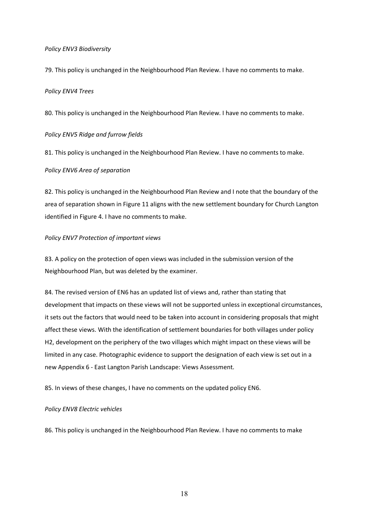#### *Policy ENV3 Biodiversity*

79. This policy is unchanged in the Neighbourhood Plan Review. I have no comments to make.

#### *Policy ENV4 Trees*

80. This policy is unchanged in the Neighbourhood Plan Review. I have no comments to make.

#### *Policy ENV5 Ridge and furrow fields*

81. This policy is unchanged in the Neighbourhood Plan Review. I have no comments to make.

#### *Policy ENV6 Area of separation*

82. This policy is unchanged in the Neighbourhood Plan Review and I note that the boundary of the area of separation shown in Figure 11 aligns with the new settlement boundary for Church Langton identified in Figure 4. I have no comments to make.

#### *Policy ENV7 Protection of important views*

83. A policy on the protection of open views was included in the submission version of the Neighbourhood Plan, but was deleted by the examiner.

84. The revised version of EN6 has an updated list of views and, rather than stating that development that impacts on these views will not be supported unless in exceptional circumstances, it sets out the factors that would need to be taken into account in considering proposals that might affect these views. With the identification of settlement boundaries for both villages under policy H2, development on the periphery of the two villages which might impact on these views will be limited in any case. Photographic evidence to support the designation of each view is set out in a new Appendix 6 - East Langton Parish Landscape: Views Assessment.

85. In views of these changes, I have no comments on the updated policy EN6.

#### *Policy ENV8 Electric vehicles*

86. This policy is unchanged in the Neighbourhood Plan Review. I have no comments to make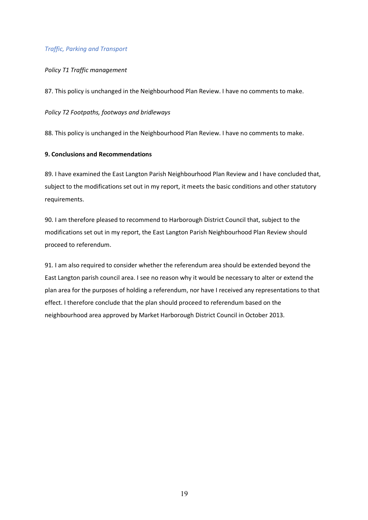#### *Traffic, Parking and Transport*

#### *Policy T1 Traffic management*

87. This policy is unchanged in the Neighbourhood Plan Review. I have no comments to make.

#### *Policy T2 Footpaths, footways and bridleways*

88. This policy is unchanged in the Neighbourhood Plan Review. I have no comments to make.

#### **9. Conclusions and Recommendations**

89. I have examined the East Langton Parish Neighbourhood Plan Review and I have concluded that, subject to the modifications set out in my report, it meets the basic conditions and other statutory requirements.

90. I am therefore pleased to recommend to Harborough District Council that, subject to the modifications set out in my report, the East Langton Parish Neighbourhood Plan Review should proceed to referendum.

91. I am also required to consider whether the referendum area should be extended beyond the East Langton parish council area. I see no reason why it would be necessary to alter or extend the plan area for the purposes of holding a referendum, nor have I received any representations to that effect. I therefore conclude that the plan should proceed to referendum based on the neighbourhood area approved by Market Harborough District Council in October 2013.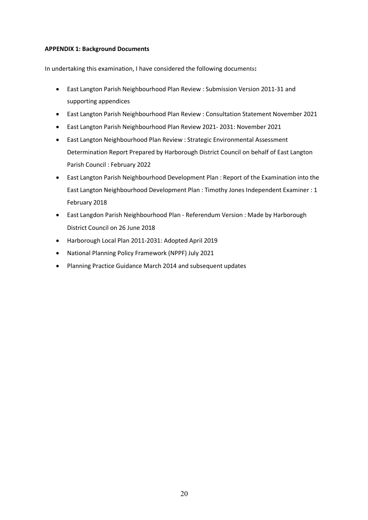#### **APPENDIX 1: Background Documents**

In undertaking this examination, I have considered the following documents**:**

- East Langton Parish Neighbourhood Plan Review : Submission Version 2011-31 and supporting appendices
- East Langton Parish Neighbourhood Plan Review : Consultation Statement November 2021
- East Langton Parish Neighbourhood Plan Review 2021- 2031: November 2021
- East Langton Neighbourhood Plan Review : Strategic Environmental Assessment Determination Report Prepared by Harborough District Council on behalf of East Langton Parish Council : February 2022
- East Langton Parish Neighbourhood Development Plan : Report of the Examination into the East Langton Neighbourhood Development Plan : Timothy Jones Independent Examiner : 1 February 2018
- East Langdon Parish Neighbourhood Plan Referendum Version : Made by Harborough District Council on 26 June 2018
- Harborough Local Plan 2011-2031: Adopted April 2019
- National Planning Policy Framework (NPPF) July 2021
- Planning Practice Guidance March 2014 and subsequent updates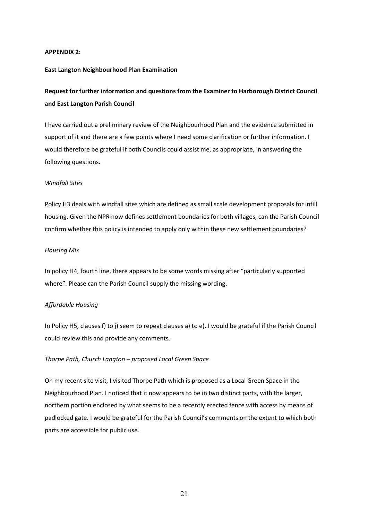#### **APPENDIX 2:**

#### **East Langton Neighbourhood Plan Examination**

### **Request for further information and questions from the Examiner to Harborough District Council and East Langton Parish Council**

I have carried out a preliminary review of the Neighbourhood Plan and the evidence submitted in support of it and there are a few points where I need some clarification or further information. I would therefore be grateful if both Councils could assist me, as appropriate, in answering the following questions.

#### *Windfall Sites*

Policy H3 deals with windfall sites which are defined as small scale development proposals for infill housing. Given the NPR now defines settlement boundaries for both villages, can the Parish Council confirm whether this policy is intended to apply only within these new settlement boundaries?

#### *Housing Mix*

In policy H4, fourth line, there appears to be some words missing after "particularly supported where". Please can the Parish Council supply the missing wording.

#### *Affordable Housing*

In Policy H5, clauses f) to j) seem to repeat clauses a) to e). I would be grateful if the Parish Council could review this and provide any comments.

#### *Thorpe Path, Church Langton – proposed Local Green Space*

On my recent site visit, I visited Thorpe Path which is proposed as a Local Green Space in the Neighbourhood Plan. I noticed that it now appears to be in two distinct parts, with the larger, northern portion enclosed by what seems to be a recently erected fence with access by means of padlocked gate. I would be grateful for the Parish Council's comments on the extent to which both parts are accessible for public use.